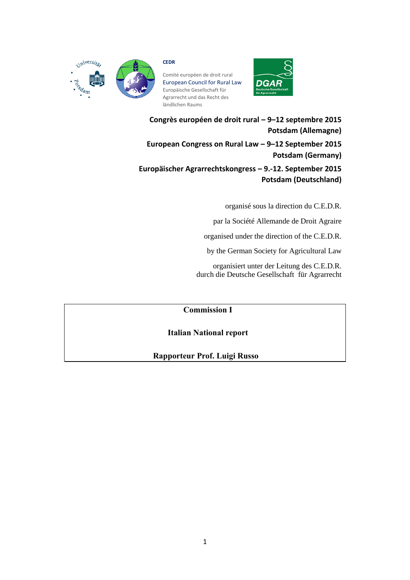

## **CEDR**

Comité européen de droit rural European Council for Rural Law Europäische Gesellschaft für Agrarrecht und das Recht des ländlichen Raums



**Congrès européen de droit rural – 9–12 septembre 2015 Potsdam (Allemagne) European Congress on Rural Law – 9–12 September 2015 Potsdam (Germany) Europäischer Agrarrechtskongress – 9.-12. September 2015 Potsdam (Deutschland)**

organisé sous la direction du C.E.D.R.

par la Société Allemande de Droit Agraire

organised under the direction of the C.E.D.R.

by the German Society for Agricultural Law

organisiert unter der Leitung des C.E.D.R. durch die Deutsche Gesellschaft für Agrarrecht

# **Commission I**

# **Italian National report**

# **Rapporteur Prof. Luigi Russo**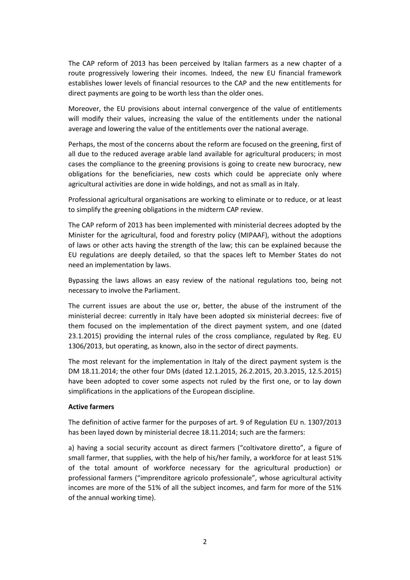The CAP reform of 2013 has been perceived by Italian farmers as a new chapter of a route progressively lowering their incomes. Indeed, the new EU financial framework establishes lower levels of financial resources to the CAP and the new entitlements for direct payments are going to be worth less than the older ones.

Moreover, the EU provisions about internal convergence of the value of entitlements will modify their values, increasing the value of the entitlements under the national average and lowering the value of the entitlements over the national average.

Perhaps, the most of the concerns about the reform are focused on the greening, first of all due to the reduced average arable land available for agricultural producers; in most cases the compliance to the greening provisions is going to create new burocracy, new obligations for the beneficiaries, new costs which could be appreciate only where agricultural activities are done in wide holdings, and not as small as in Italy.

Professional agricultural organisations are working to eliminate or to reduce, or at least to simplify the greening obligations in the midterm CAP review.

The CAP reform of 2013 has been implemented with ministerial decrees adopted by the Minister for the agricultural, food and forestry policy (MIPAAF), without the adoptions of laws or other acts having the strength of the law; this can be explained because the EU regulations are deeply detailed, so that the spaces left to Member States do not need an implementation by laws.

Bypassing the laws allows an easy review of the national regulations too, being not necessary to involve the Parliament.

The current issues are about the use or, better, the abuse of the instrument of the ministerial decree: currently in Italy have been adopted six ministerial decrees: five of them focused on the implementation of the direct payment system, and one (dated 23.1.2015) providing the internal rules of the cross compliance, regulated by Reg. EU 1306/2013, but operating, as known, also in the sector of direct payments.

The most relevant for the implementation in Italy of the direct payment system is the DM 18.11.2014; the other four DMs (dated 12.1.2015, 26.2.2015, 20.3.2015, 12.5.2015) have been adopted to cover some aspects not ruled by the first one, or to lay down simplifications in the applications of the European discipline.

## **Active farmers**

The definition of active farmer for the purposes of art. 9 of Regulation EU n. 1307/2013 has been layed down by ministerial decree 18.11.2014; such are the farmers:

a) having a social security account as direct farmers ("coltivatore diretto", a figure of small farmer, that supplies, with the help of his/her family, a workforce for at least 51% of the total amount of workforce necessary for the agricultural production) or professional farmers ("imprenditore agricolo professionale", whose agricultural activity incomes are more of the 51% of all the subject incomes, and farm for more of the 51% of the annual working time).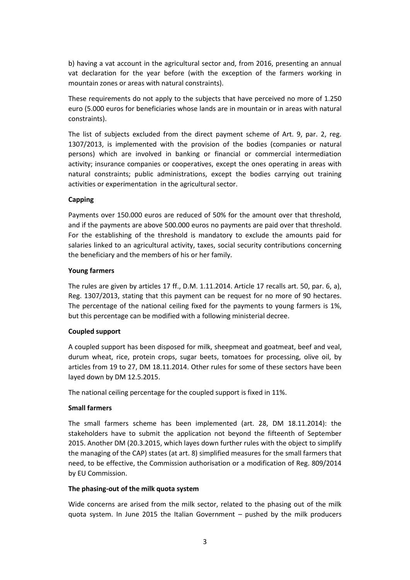b) having a vat account in the agricultural sector and, from 2016, presenting an annual vat declaration for the year before (with the exception of the farmers working in mountain zones or areas with natural constraints).

These requirements do not apply to the subjects that have perceived no more of 1.250 euro (5.000 euros for beneficiaries whose lands are in mountain or in areas with natural constraints).

The list of subjects excluded from the direct payment scheme of Art. 9, par. 2, reg. 1307/2013, is implemented with the provision of the bodies (companies or natural persons) which are involved in banking or financial or commercial intermediation activity; insurance companies or cooperatives, except the ones operating in areas with natural constraints; public administrations, except the bodies carrying out training activities or experimentation in the agricultural sector.

# **Capping**

Payments over 150.000 euros are reduced of 50% for the amount over that threshold, and if the payments are above 500.000 euros no payments are paid over that threshold. For the establishing of the threshold is mandatory to exclude the amounts paid for salaries linked to an agricultural activity, taxes, social security contributions concerning the beneficiary and the members of his or her family.

## **Young farmers**

The rules are given by articles 17 ff., D.M. 1.11.2014. Article 17 recalls art. 50, par. 6, a), Reg. 1307/2013, stating that this payment can be request for no more of 90 hectares. The percentage of the national ceiling fixed for the payments to young farmers is 1%, but this percentage can be modified with a following ministerial decree.

## **Coupled support**

A coupled support has been disposed for milk, sheepmeat and goatmeat, beef and veal, durum wheat, rice, protein crops, sugar beets, tomatoes for processing, olive oil, by articles from 19 to 27, DM 18.11.2014. Other rules for some of these sectors have been layed down by DM 12.5.2015.

The national ceiling percentage for the coupled support is fixed in 11%.

## **Small farmers**

The small farmers scheme has been implemented (art. 28, DM 18.11.2014): the stakeholders have to submit the application not beyond the fifteenth of September 2015. Another DM (20.3.2015, which layes down further rules with the object to simplify the managing of the CAP) states (at art. 8) simplified measures for the small farmers that need, to be effective, the Commission authorisation or a modification of Reg. 809/2014 by EU Commission.

## **The phasing-out of the milk quota system**

Wide concerns are arised from the milk sector, related to the phasing out of the milk quota system. In June 2015 the Italian Government – pushed by the milk producers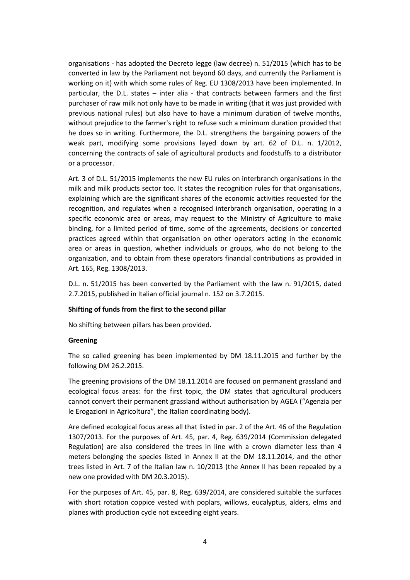organisations - has adopted the Decreto legge (law decree) n. 51/2015 (which has to be converted in law by the Parliament not beyond 60 days, and currently the Parliament is working on it) with which some rules of Reg. EU 1308/2013 have been implemented. In particular, the D.L. states – inter alia - that contracts between farmers and the first purchaser of raw milk not only have to be made in writing (that it was just provided with previous national rules) but also have to have a minimum duration of twelve months, without prejudice to the farmer's right to refuse such a minimum duration provided that he does so in writing. Furthermore, the D.L. strengthens the bargaining powers of the weak part, modifying some provisions layed down by art. 62 of D.L. n. 1/2012, concerning the contracts of sale of agricultural products and foodstuffs to a distributor or a processor.

Art. 3 of D.L. 51/2015 implements the new EU rules on interbranch organisations in the milk and milk products sector too. It states the recognition rules for that organisations, explaining which are the significant shares of the economic activities requested for the recognition, and regulates when a recognised interbranch organisation, operating in a specific economic area or areas, may request to the Ministry of Agriculture to make binding, for a limited period of time, some of the agreements, decisions or concerted practices agreed within that organisation on other operators acting in the economic area or areas in question, whether individuals or groups, who do not belong to the organization, and to obtain from these operators financial contributions as provided in Art. 165, Reg. 1308/2013.

D.L. n. 51/2015 has been converted by the Parliament with the law n. 91/2015, dated 2.7.2015, published in Italian official journal n. 152 on 3.7.2015.

## **Shifting of funds from the first to the second pillar**

No shifting between pillars has been provided.

## **Greening**

The so called greening has been implemented by DM 18.11.2015 and further by the following DM 26.2.2015.

The greening provisions of the DM 18.11.2014 are focused on permanent grassland and ecological focus areas: for the first topic, the DM states that agricultural producers cannot convert their permanent grassland without authorisation by AGEA ("Agenzia per le Erogazioni in Agricoltura", the Italian coordinating body).

Are defined ecological focus areas all that listed in par. 2 of the Art. 46 of the Regulation 1307/2013. For the purposes of Art. 45, par. 4, Reg. 639/2014 (Commission delegated Regulation) are also considered the trees in line with a crown diameter less than 4 meters belonging the species listed in Annex II at the DM 18.11.2014, and the other trees listed in Art. 7 of the Italian law n. 10/2013 (the Annex II has been repealed by a new one provided with DM 20.3.2015).

For the purposes of Art. 45, par. 8, Reg. 639/2014, are considered suitable the surfaces with short rotation coppice vested with poplars, willows, eucalyptus, alders, elms and planes with production cycle not exceeding eight years.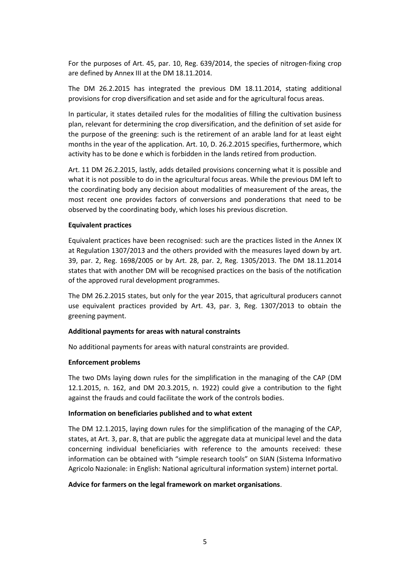For the purposes of Art. 45, par. 10, Reg. 639/2014, the species of nitrogen-fixing crop are defined by Annex III at the DM 18.11.2014.

The DM 26.2.2015 has integrated the previous DM 18.11.2014, stating additional provisions for crop diversification and set aside and for the agricultural focus areas.

In particular, it states detailed rules for the modalities of filling the cultivation business plan, relevant for determining the crop diversification, and the definition of set aside for the purpose of the greening: such is the retirement of an arable land for at least eight months in the year of the application. Art. 10, D. 26.2.2015 specifies, furthermore, which activity has to be done e which is forbidden in the lands retired from production.

Art. 11 DM 26.2.2015, lastly, adds detailed provisions concerning what it is possible and what it is not possible to do in the agricultural focus areas. While the previous DM left to the coordinating body any decision about modalities of measurement of the areas, the most recent one provides factors of conversions and ponderations that need to be observed by the coordinating body, which loses his previous discretion.

## **Equivalent practices**

Equivalent practices have been recognised: such are the practices listed in the Annex IX at Regulation 1307/2013 and the others provided with the measures layed down by art. 39, par. 2, Reg. 1698/2005 or by Art. 28, par. 2, Reg. 1305/2013. The DM 18.11.2014 states that with another DM will be recognised practices on the basis of the notification of the approved rural development programmes.

The DM 26.2.2015 states, but only for the year 2015, that agricultural producers cannot use equivalent practices provided by Art. 43, par. 3, Reg. 1307/2013 to obtain the greening payment.

## **Additional payments for areas with natural constraints**

No additional payments for areas with natural constraints are provided.

## **Enforcement problems**

The two DMs laying down rules for the simplification in the managing of the CAP (DM 12.1.2015, n. 162, and DM 20.3.2015, n. 1922) could give a contribution to the fight against the frauds and could facilitate the work of the controls bodies.

#### **Information on beneficiaries published and to what extent**

The DM 12.1.2015, laying down rules for the simplification of the managing of the CAP, states, at Art. 3, par. 8, that are public the aggregate data at municipal level and the data concerning individual beneficiaries with reference to the amounts received: these information can be obtained with "simple research tools" on SIAN (Sistema Informativo Agricolo Nazionale: in English: National agricultural information system) internet portal.

#### **Advice for farmers on the legal framework on market organisations**.